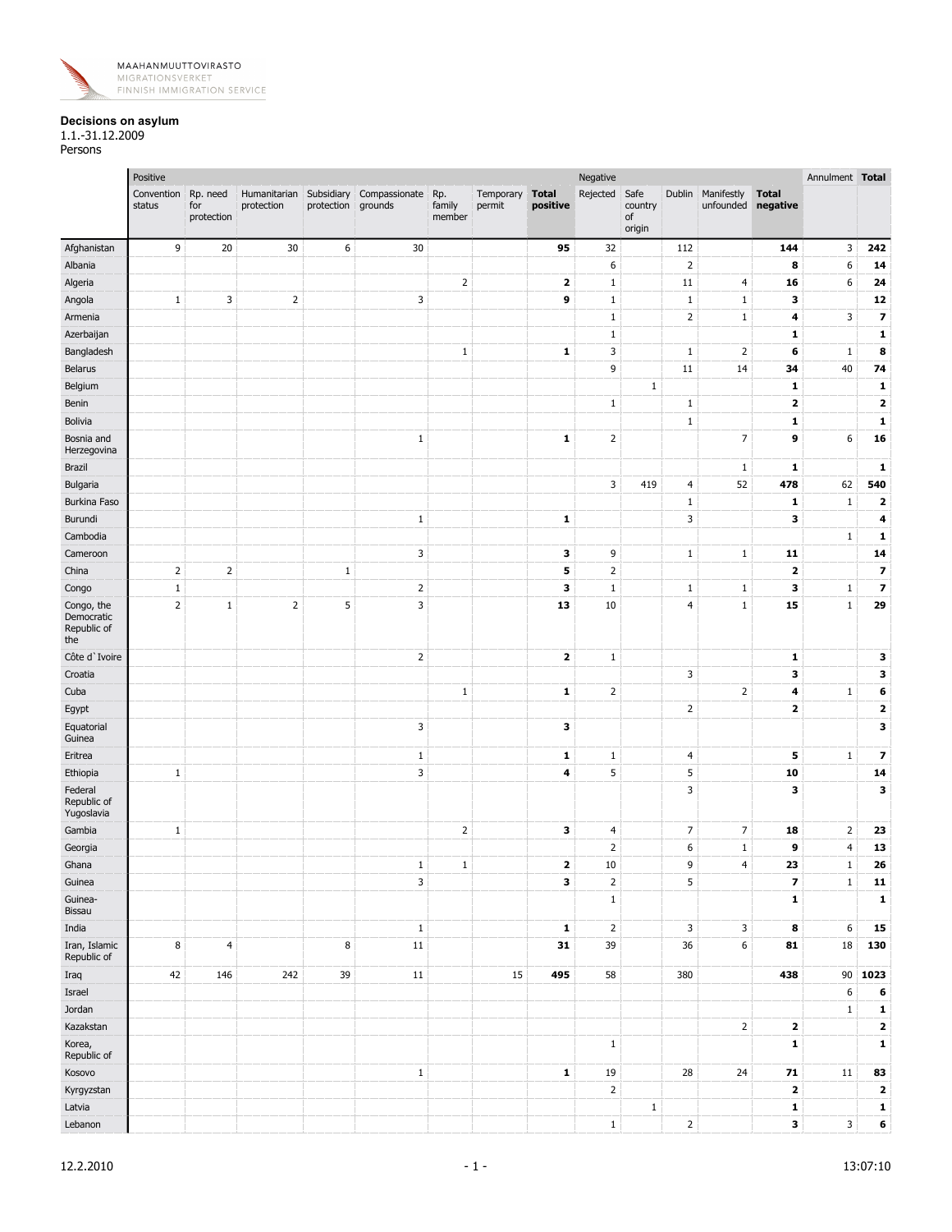

## **Decisions on asylum**

1.1.-31.12.2009 Persons